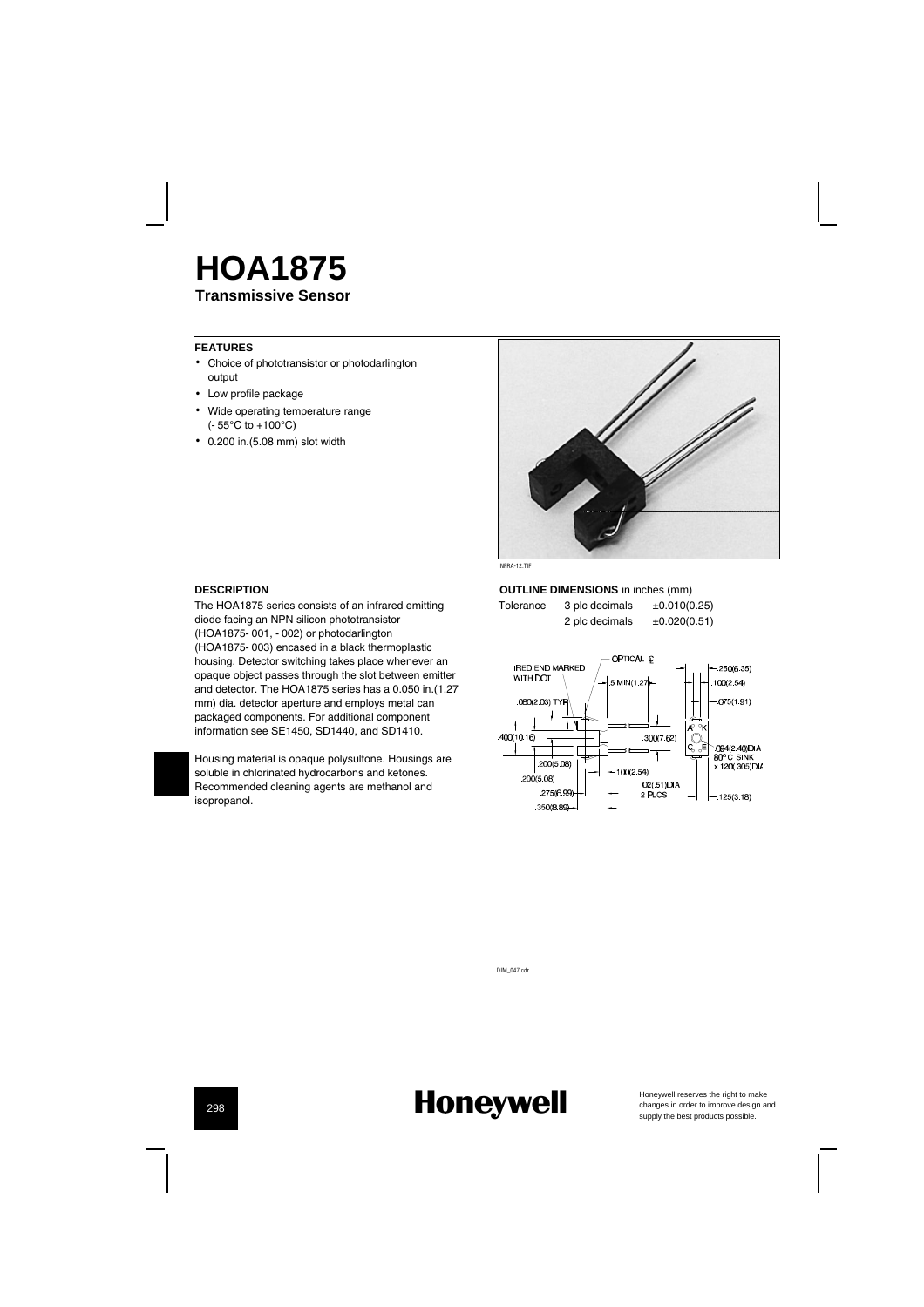### **Transmissive Sensor HOA1875**

#### **FEATURES**

- Choice of phototransistor or photodarlington output
- Low profile package
- Wide operating temperature range (-55¡C to +100¡C)
- 0.200 in.(5.08 mm) slot width



### **DESCRIPTION**

The HOA1875 series consists of an infrared emitting diode facing an NPN silicon phototransistor (HOA1875-001, -002) or photodarlington (HOA1875-003) encased in a black thermoplastic housing. Detector switching takes place whenever an opaque object passes through the slot between emitter and detector. The HOA1875 series has a 0.050 in.(1.27 mm) dia. detector aperture and employs metal can packaged components. For additional component information see SE1450, SD1440, and SD1410.



Housing material is opaque polysulfone. Housings are soluble in chlorinated hydrocarbons and ketones. Recommended cleaning agents are methanol and isopropanol.

**OUTLINE DIMENSIONS** in inches (mm) Tolerance  $3$  plc decimals  $\pm 0.010(0.25)$ 2 plc decimals  $\pm 0.020(0.51)$ 

OPTICAL Q **IRED END MARKED**<br>WITH **DO**T \  $-250(6.35)$ 5 MIN/1 2  $100(2.54)$ 080(2 03) TYP  $075(1.91)$  $\overline{r}$  $400(10.16)$  $300(762)$ `094(2.40)DIA<br>80° C SINK<br>x.120(.305)DI∕  $\downarrow$ 200(5.08)  $-100(2.54)$  $200(5.08)$  $02(51)$ DIA<br>2 PLCS 275(6.99)  $-125(3.18)$ 350(8.89)

DIM\_047.cdr

### **Honeywell**

Honeywell reserves the right to make<br>changes in order to improve design and<br>supply the best products possible.

298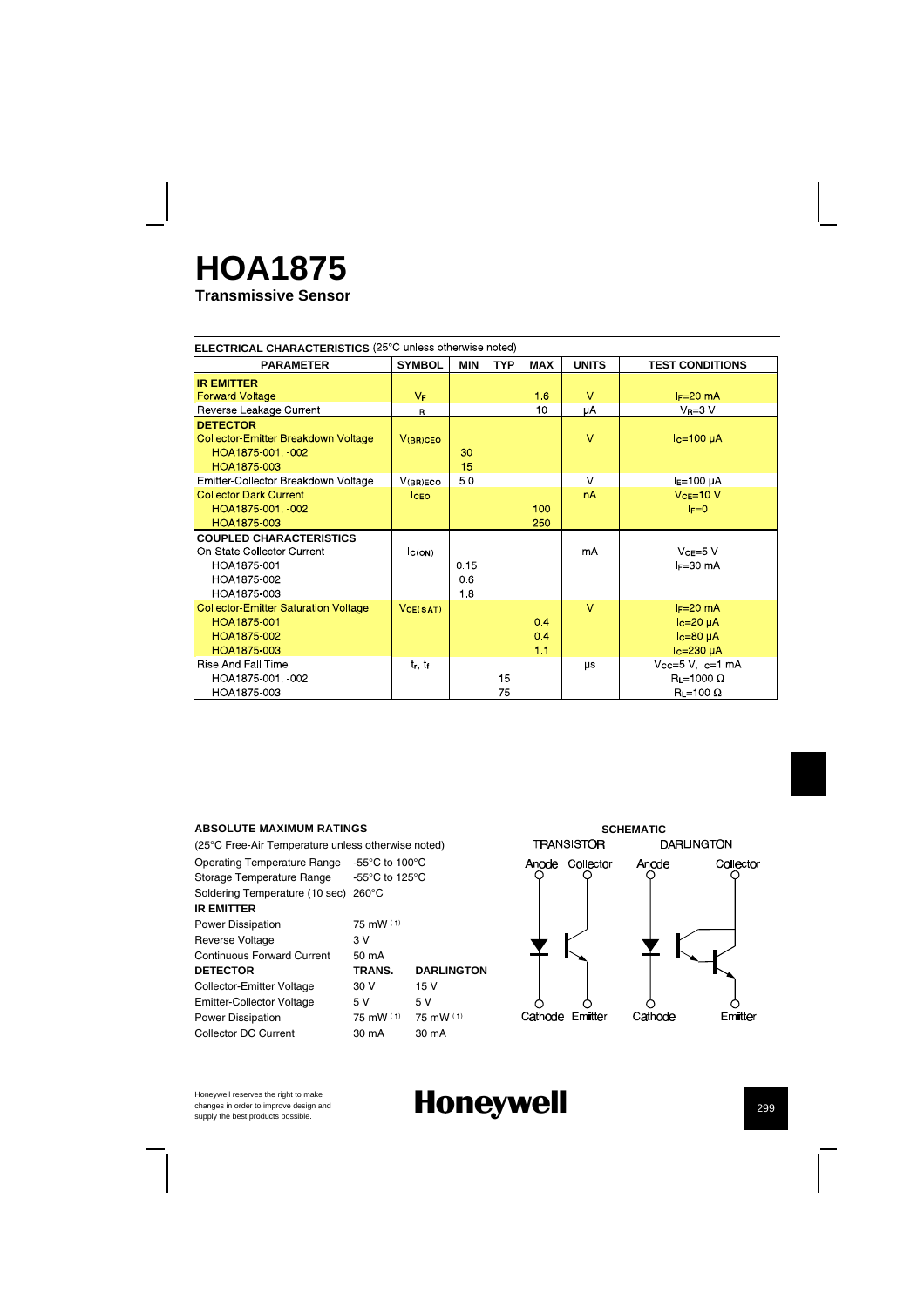# **HOA1875**

**Transmissive Sensor**

| ELECTRICAL CHARACTERISTICS (25°C unless otherwise noted) |                |            |     |            |              |                        |
|----------------------------------------------------------|----------------|------------|-----|------------|--------------|------------------------|
| <b>PARAMETER</b>                                         | <b>SYMBOL</b>  | <b>MIN</b> | TYP | <b>MAX</b> | <b>UNITS</b> | <b>TEST CONDITIONS</b> |
| <b>IR EMITTER</b>                                        |                |            |     |            |              |                        |
| <b>Forward Voltage</b>                                   | $V_F$          |            |     | 1.6        | $\vee$       | $I_F=20$ mA            |
| Reverse Leakage Current                                  | l <sub>R</sub> |            |     | 10         | μA           | $V_R = 3 V$            |
| <b>DETECTOR</b>                                          |                |            |     |            |              |                        |
| <b>Collector-Emitter Breakdown Voltage</b>               | $V$ (BR)CEO    |            |     |            | $\vee$       | $lc=100 \mu A$         |
| HOA1875-001, 002                                         |                | 30         |     |            |              |                        |
| HOA1875-003                                              |                | 15         |     |            |              |                        |
| Emitter-Collector Breakdown Voltage                      | V(BR)ECO       | 50         |     |            | $\vee$       | $IE=100 \mu A$         |
| <b>Collector Dark Current</b>                            | <b>CEO</b>     |            |     |            | nA           | $VCE=10 V$             |
| HOA1875-001, 002                                         |                |            |     | 100        |              | $F=0$                  |
| HOA1875-003                                              |                |            |     | 250        |              |                        |
| <b>COUPLED CHARACTERISTICS</b>                           |                |            |     |            |              |                        |
| On-State Collector Current                               | C(ON)          |            |     |            | mA           | $VCE=5$ V              |
| HOA1875-001                                              |                | 0.15       |     |            |              | $F = 30$ mA            |
| HOA1875-002                                              |                | 06         |     |            |              |                        |
| HOA1875-003                                              |                | 1.8        |     |            |              |                        |
| <b>Collector Emitter Saturation Voltage</b>              | VCE(SAT)       |            |     |            | $\vee$       | $I_F=20$ mA            |
| HOA1875-001                                              |                |            |     | 0.4        |              | $lc = 20 \mu A$        |
| HOA1875-002                                              |                |            |     | 0.4        |              | $Ic=80\muA$            |
| HOA1875-003                                              |                |            |     | 1.1        |              | $lc = 230 \mu A$       |
| <b>Rise And Fall Time</b>                                | $t_r$ , $t_f$  |            |     |            | μs           | Vcc=5 V, Ic=1 mA       |
| HOA1875-001, 002                                         |                |            | 15  |            |              | $R_L = 1000 \Omega$    |
| HOA1875-003                                              |                |            | 75  |            |              | $R_L = 100 \Omega$     |

#### **ABSOLUTE MAXIMUM RATINGS**

(25¡C Free-Air Temperature unless otherwise noted) Operating Temperature Range -55¡C to 100¡C Storage Temperature Range -55°C to 125°C Soldering Temperature (10 sec) 260°C **IR EMITTER** Power Dissipation 75 mW (1) Reverse Voltage 3 V<br>Continuous Forward Current 50 mA Continuous Forward Current **DETECTOR TRANS. DARLINGTON**<br>
Collector-Emitter Voltage 30 V 15 V Collector-Emitter Voltage 30 V Emitter-Collector Voltage 5 V 5 V<br>
Power Dissipation 75 mW (1) 75 mW (1) Power Dissipation 75 mW (1) Collector DC Current 30 mA 30 mA



Honeywell reserves the right to make changes in order to improve design and<br>supply the best products possible.

## **Honeywell** 299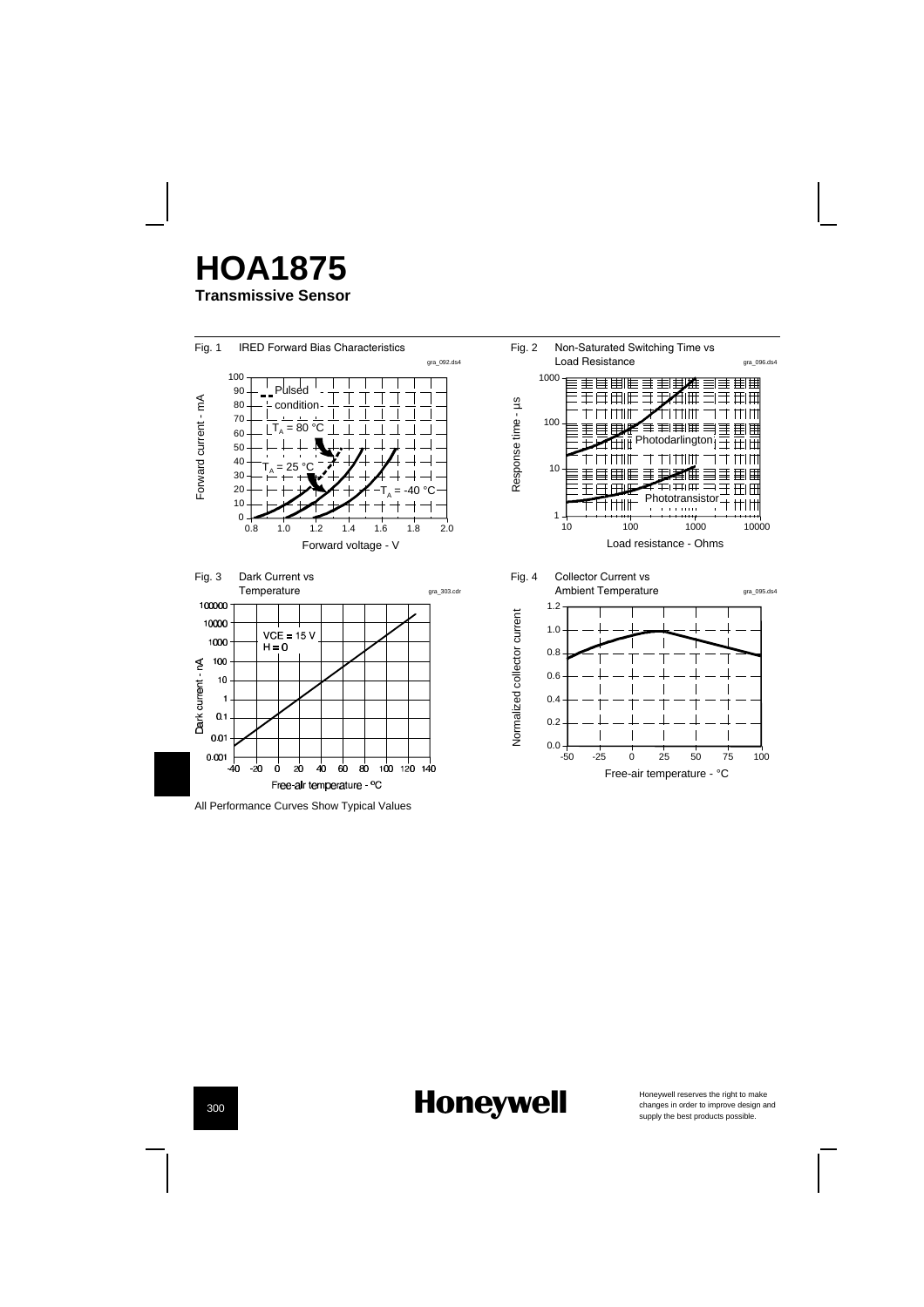



## **Honeywell**

Honeywell reserves the right to make<br>changes in order to improve design and<br>supply the best products possible.

300